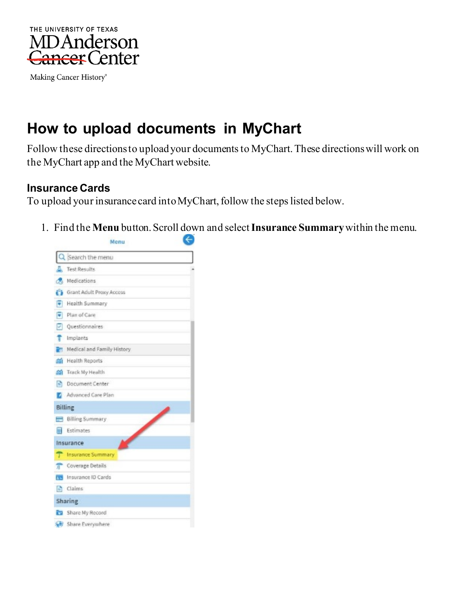

Making Cancer History®

# **How to upload documents in MyChart**

Follow these directions to upload your documents to MyChart.These directions will work on the MyChart app and the MyChart website.

#### **Insurance Cards**

To upload your insurance card into MyChart, follow the steps listed below.

1. Find the **Menu** button. Scroll down and select **Insurance Summary**within the menu.

|                      | Menu                                                                                                                                                                                                                                                    |  |
|----------------------|---------------------------------------------------------------------------------------------------------------------------------------------------------------------------------------------------------------------------------------------------------|--|
|                      | Search the menu                                                                                                                                                                                                                                         |  |
|                      | Test Results                                                                                                                                                                                                                                            |  |
|                      | Medications                                                                                                                                                                                                                                             |  |
|                      | Grant Adult Proxy Access                                                                                                                                                                                                                                |  |
| G                    | Health Summary                                                                                                                                                                                                                                          |  |
| $\overline{\bullet}$ | Plan of Care                                                                                                                                                                                                                                            |  |
| ₽                    | Questionnaires                                                                                                                                                                                                                                          |  |
| Ť.                   | Implants                                                                                                                                                                                                                                                |  |
| P.                   | Medical and Family History                                                                                                                                                                                                                              |  |
| aan -                | Health Reports                                                                                                                                                                                                                                          |  |
|                      | and Track My Health                                                                                                                                                                                                                                     |  |
|                      | <b>In Document Center</b>                                                                                                                                                                                                                               |  |
|                      | Advanced Care Plan                                                                                                                                                                                                                                      |  |
|                      | Billing                                                                                                                                                                                                                                                 |  |
| $=$                  | <b>Contract Contract Contract Contract Contract Contract Contract Contract Contract Contract Contract Contract Contract Contract Contract Contract Contract Contract Contract Contract Contract Contract Contract Contract Contr</b><br>Billing Summary |  |
| <b>Inc.</b>          | Estimates                                                                                                                                                                                                                                               |  |
|                      | Insurance                                                                                                                                                                                                                                               |  |
|                      | T Insurance Summary                                                                                                                                                                                                                                     |  |
|                      | Coverage Details                                                                                                                                                                                                                                        |  |
|                      | First Insurance ID Cards                                                                                                                                                                                                                                |  |
|                      | Claims                                                                                                                                                                                                                                                  |  |
|                      | Sharing                                                                                                                                                                                                                                                 |  |
|                      | Share My Record                                                                                                                                                                                                                                         |  |
|                      | Share Everywhere                                                                                                                                                                                                                                        |  |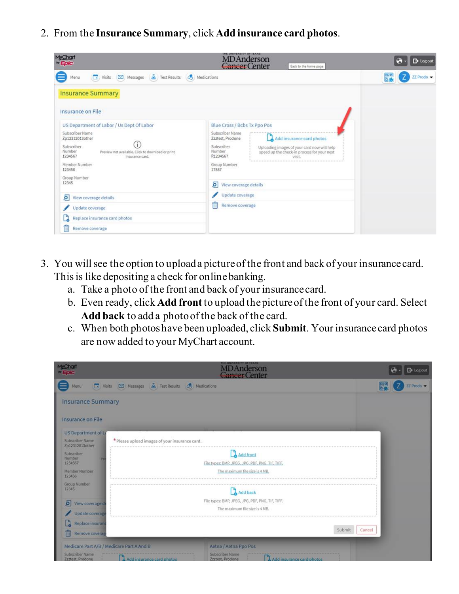2. From the **Insurance Summary**, click **Add insurance card photos**.

| MyChart<br><b><i>by</i></b> Epic                                                                                                                                                                                                                    | THE UNIVERSITY OF TEXAS<br><b>MDAnderson</b><br>Cancer Center<br>Back to the home page                                                                                                                                                                      | <b>B</b> Log out |
|-----------------------------------------------------------------------------------------------------------------------------------------------------------------------------------------------------------------------------------------------------|-------------------------------------------------------------------------------------------------------------------------------------------------------------------------------------------------------------------------------------------------------------|------------------|
| Messages 4 Test Results (8) Medications<br>$\Box$ Visits<br>Menu                                                                                                                                                                                    |                                                                                                                                                                                                                                                             | 體<br>ZZ Prodo ▼  |
| <b>Insurance Summary</b>                                                                                                                                                                                                                            |                                                                                                                                                                                                                                                             |                  |
| Insurance on File                                                                                                                                                                                                                                   |                                                                                                                                                                                                                                                             |                  |
| US Department of Labor / Us Dept Of Labor<br>Subscriber Name<br>Zp12312013other<br>ï<br>Subscriber<br>Number<br>Preview not available. Click to download or print<br>1234567<br>insurance card.<br>Member Number<br>123456<br>Group Number<br>12345 | Blue Cross / Bcbs Tx Ppo Pos<br>Subscriber Name<br>Add insurance card photos<br>Zzztest, Prodone<br>Subscriber<br>Uploading images of your card now will help<br>Number<br>speed up the check-in process for your next<br>R1234567<br>Group Number<br>17887 |                  |
| ō<br>View coverage details                                                                                                                                                                                                                          | ō<br>View coverage details<br>Update coverage                                                                                                                                                                                                               |                  |
| Update coverage<br>Replace insurance card photos<br>tî<br>Remove coverage                                                                                                                                                                           | û<br>Remove coverage                                                                                                                                                                                                                                        |                  |

- 3. You will see the option to upload a picture of the front and back of your insurance card. This is like depositing a check for online banking.
	- a. Take a photo of the front and back of your insurance card.
	- b. Even ready, click **Add front** to upload the picture of the front of your card. Select **Add back** to add a photo of the back of the card.
	- c. When both photos have been uploaded, click **Submit**. Your insurance card photos are now added to your MyChart account.

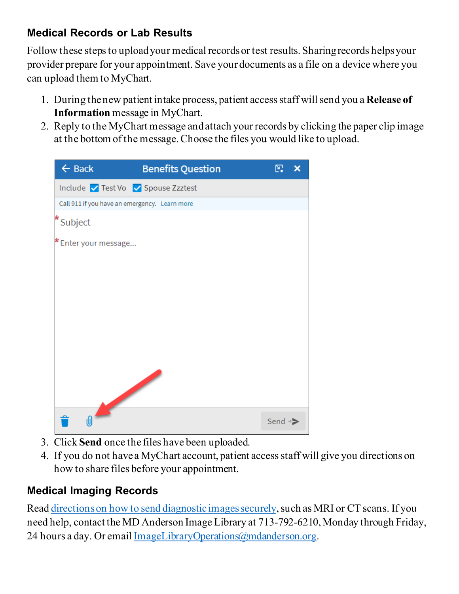# **Medical Records or Lab Results**

Follow these steps to upload your medical records or test results. Sharing records helps your provider prepare for your appointment. Save your documents as a file on a device where you can upload them to MyChart.

- 1. During the new patient intake process, patient access staff will send you a **Release of Information** message in MyChart.
- 2. Reply to the MyChart message and attach your records by clicking the paper clip image at the bottom of the message. Choose the files you would like to upload.



- 3. Click **Send** once the files have been uploaded.
- 4. If you do not have a MyChart account, patient access staff will give you directions on how to share files before your appointment.

## **Medical Imaging Records**

Read [directions on how to send](https://www.mdanderson.org/patients-family/becoming-our-patient/planning-for-care/returning-patients.html) diagnostic images securely, such as MRI or CT scans. If you need help, contact the MD Anderson Image Library at 713-792-6210, Monday through Friday, 24 hours a day. Or email [ImageLibraryOperations@mdanderson.org](mailto:ImageLibraryOperations@mdanderson.org).